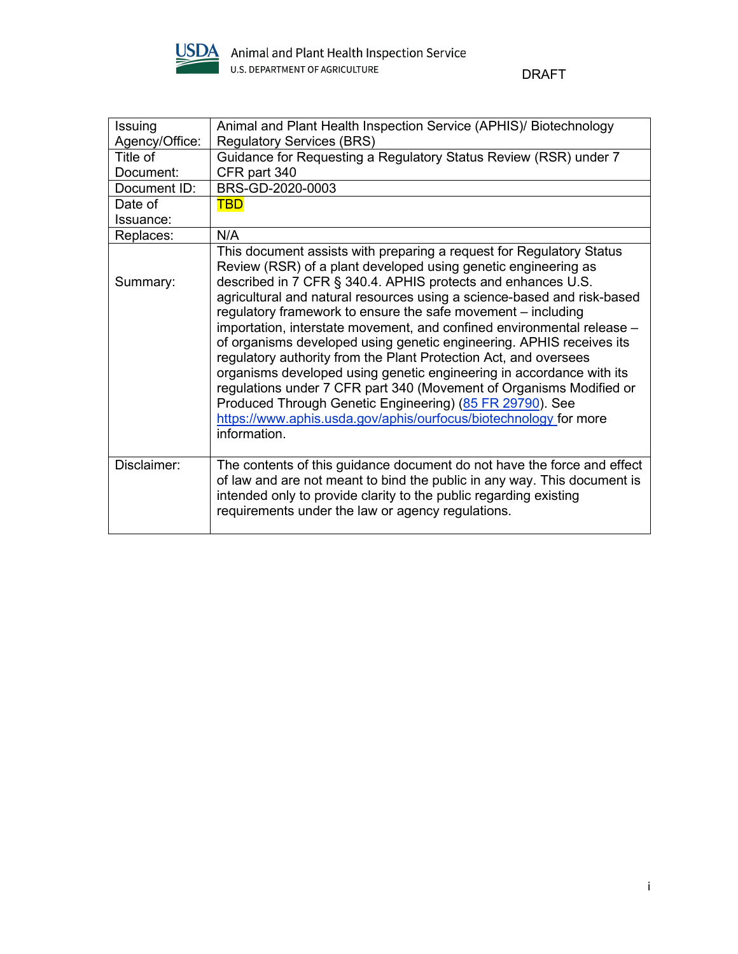

DRAFT

| Issuing        | Animal and Plant Health Inspection Service (APHIS)/ Biotechnology                                                                                                                                                                                                                                                                                                                                                                                                                                                                                                                                                                                                                                                                                                                                                                                                      |
|----------------|------------------------------------------------------------------------------------------------------------------------------------------------------------------------------------------------------------------------------------------------------------------------------------------------------------------------------------------------------------------------------------------------------------------------------------------------------------------------------------------------------------------------------------------------------------------------------------------------------------------------------------------------------------------------------------------------------------------------------------------------------------------------------------------------------------------------------------------------------------------------|
| Agency/Office: | <b>Regulatory Services (BRS)</b>                                                                                                                                                                                                                                                                                                                                                                                                                                                                                                                                                                                                                                                                                                                                                                                                                                       |
| Title of       | Guidance for Requesting a Regulatory Status Review (RSR) under 7                                                                                                                                                                                                                                                                                                                                                                                                                                                                                                                                                                                                                                                                                                                                                                                                       |
| Document:      | CFR part 340                                                                                                                                                                                                                                                                                                                                                                                                                                                                                                                                                                                                                                                                                                                                                                                                                                                           |
| Document ID:   | BRS-GD-2020-0003                                                                                                                                                                                                                                                                                                                                                                                                                                                                                                                                                                                                                                                                                                                                                                                                                                                       |
| Date of        | <b>TBD</b>                                                                                                                                                                                                                                                                                                                                                                                                                                                                                                                                                                                                                                                                                                                                                                                                                                                             |
| Issuance:      |                                                                                                                                                                                                                                                                                                                                                                                                                                                                                                                                                                                                                                                                                                                                                                                                                                                                        |
| Replaces:      | N/A                                                                                                                                                                                                                                                                                                                                                                                                                                                                                                                                                                                                                                                                                                                                                                                                                                                                    |
| Summary:       | This document assists with preparing a request for Regulatory Status<br>Review (RSR) of a plant developed using genetic engineering as<br>described in 7 CFR § 340.4. APHIS protects and enhances U.S.<br>agricultural and natural resources using a science-based and risk-based<br>regulatory framework to ensure the safe movement – including<br>importation, interstate movement, and confined environmental release -<br>of organisms developed using genetic engineering. APHIS receives its<br>regulatory authority from the Plant Protection Act, and oversees<br>organisms developed using genetic engineering in accordance with its<br>regulations under 7 CFR part 340 (Movement of Organisms Modified or<br>Produced Through Genetic Engineering) (85 FR 29790). See<br>https://www.aphis.usda.gov/aphis/ourfocus/biotechnology for more<br>information. |
| Disclaimer:    | The contents of this guidance document do not have the force and effect<br>of law and are not meant to bind the public in any way. This document is<br>intended only to provide clarity to the public regarding existing<br>requirements under the law or agency regulations.                                                                                                                                                                                                                                                                                                                                                                                                                                                                                                                                                                                          |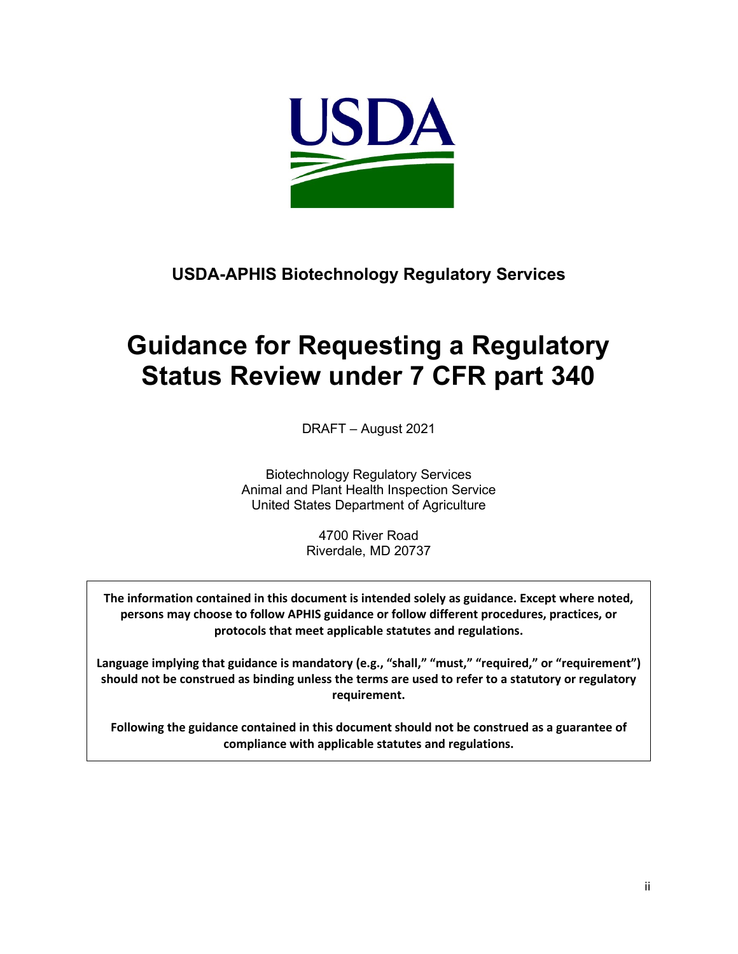

### **USDA-APHIS Biotechnology Regulatory Services**

# **Guidance for Requesting a Regulatory Status Review under 7 CFR part 340**

DRAFT – August 2021

Biotechnology Regulatory Services Animal and Plant Health Inspection Service United States Department of Agriculture

> 4700 River Road Riverdale, MD 20737

**The information contained in this document is intended solely as guidance. Except where noted, persons may choose to follow APHIS guidance or follow different procedures, practices, or protocols that meet applicable statutes and regulations.**

**Language implying that guidance is mandatory (e.g., "shall," "must," "required," or "requirement") should not be construed as binding unless the terms are used to refer to a statutory or regulatory requirement.**

**Following the guidance contained in this document should not be construed as a guarantee of compliance with applicable statutes and regulations.**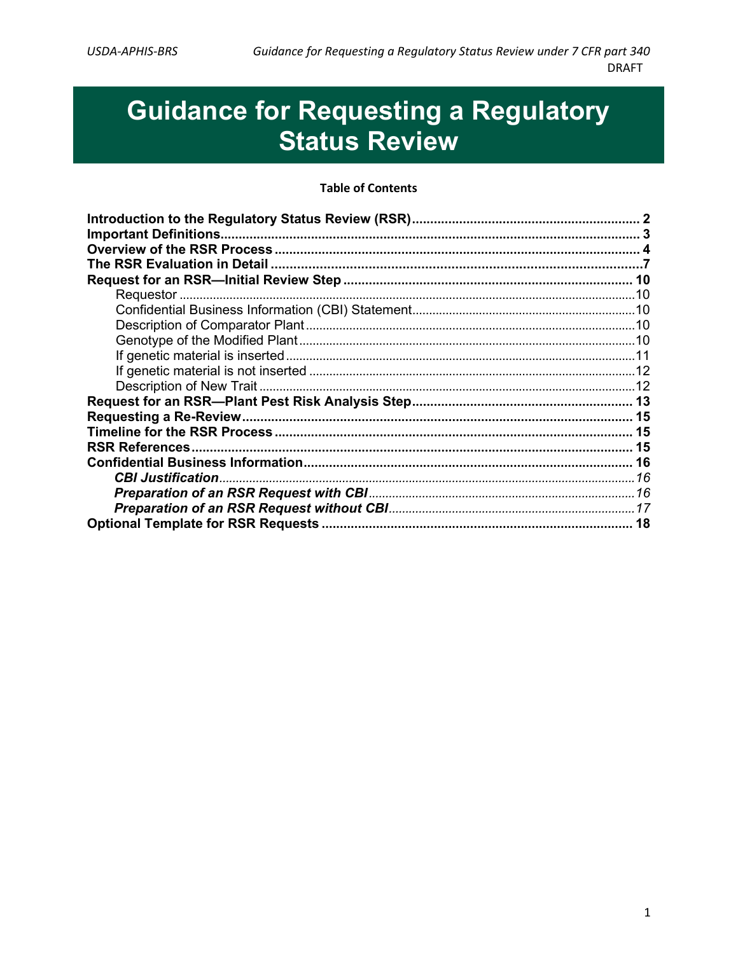# **Guidance for Requesting a Regulatory Status Review**

#### **Table of Contents**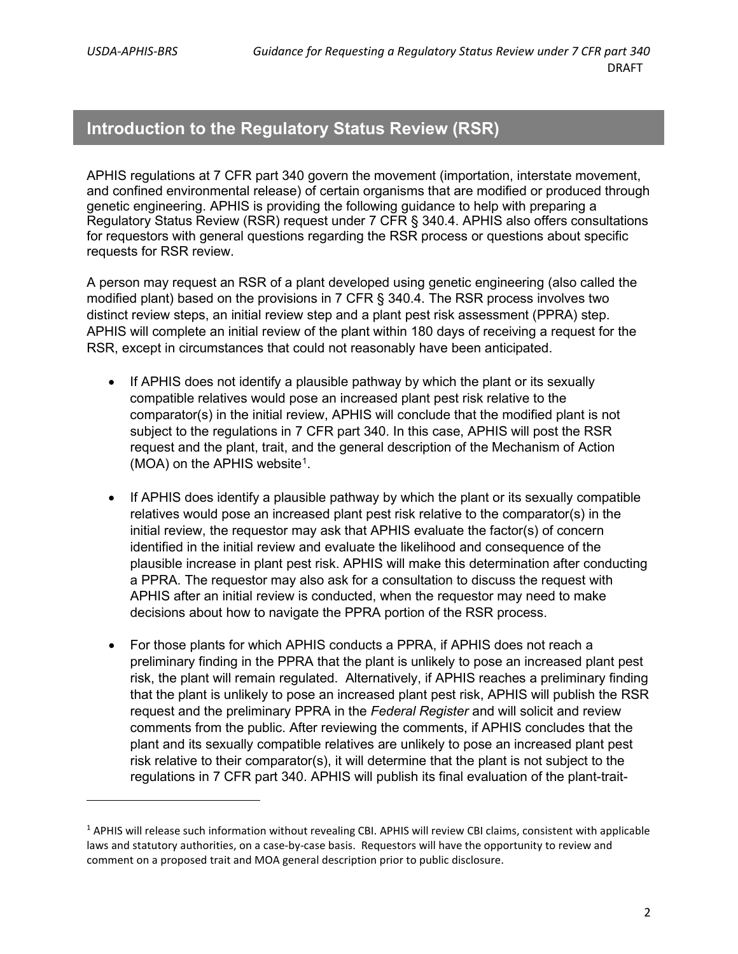#### <span id="page-3-0"></span>**Introduction to the Regulatory Status Review (RSR)**

APHIS regulations at 7 CFR part 340 govern the movement (importation, interstate movement, and confined environmental release) of certain organisms that are modified or produced through genetic engineering. APHIS is providing the following guidance to help with preparing a Regulatory Status Review (RSR) request under 7 CFR § 340.4. APHIS also offers consultations for requestors with general questions regarding the RSR process or questions about specific requests for RSR review.

A person may request an RSR of a plant developed using genetic engineering (also called the modified plant) based on the provisions in 7 CFR § 340.4. The RSR process involves two distinct review steps, an initial review step and a plant pest risk assessment (PPRA) step. APHIS will complete an initial review of the plant within 180 days of receiving a request for the RSR, except in circumstances that could not reasonably have been anticipated.

- If APHIS does not identify a plausible pathway by which the plant or its sexually compatible relatives would pose an increased plant pest risk relative to the comparator(s) in the initial review, APHIS will conclude that the modified plant is not subject to the regulations in 7 CFR part 340. In this case, APHIS will post the RSR request and the plant, trait, and the general description of the Mechanism of Action (MOA) on the APHIS website<sup>[1](#page-3-1)</sup>.
- If APHIS does identify a plausible pathway by which the plant or its sexually compatible relatives would pose an increased plant pest risk relative to the comparator(s) in the initial review, the requestor may ask that APHIS evaluate the factor(s) of concern identified in the initial review and evaluate the likelihood and consequence of the plausible increase in plant pest risk. APHIS will make this determination after conducting a PPRA. The requestor may also ask for a consultation to discuss the request with APHIS after an initial review is conducted, when the requestor may need to make decisions about how to navigate the PPRA portion of the RSR process.
- For those plants for which APHIS conducts a PPRA, if APHIS does not reach a preliminary finding in the PPRA that the plant is unlikely to pose an increased plant pest risk, the plant will remain regulated. Alternatively, if APHIS reaches a preliminary finding that the plant is unlikely to pose an increased plant pest risk, APHIS will publish the RSR request and the preliminary PPRA in the *Federal Register* and will solicit and review comments from the public. After reviewing the comments, if APHIS concludes that the plant and its sexually compatible relatives are unlikely to pose an increased plant pest risk relative to their comparator(s), it will determine that the plant is not subject to the regulations in 7 CFR part 340. APHIS will publish its final evaluation of the plant-trait-

<span id="page-3-1"></span><sup>&</sup>lt;sup>1</sup> APHIS will release such information without revealing CBI. APHIS will review CBI claims, consistent with applicable laws and statutory authorities, on a case-by-case basis. Requestors will have the opportunity to review and comment on a proposed trait and MOA general description prior to public disclosure.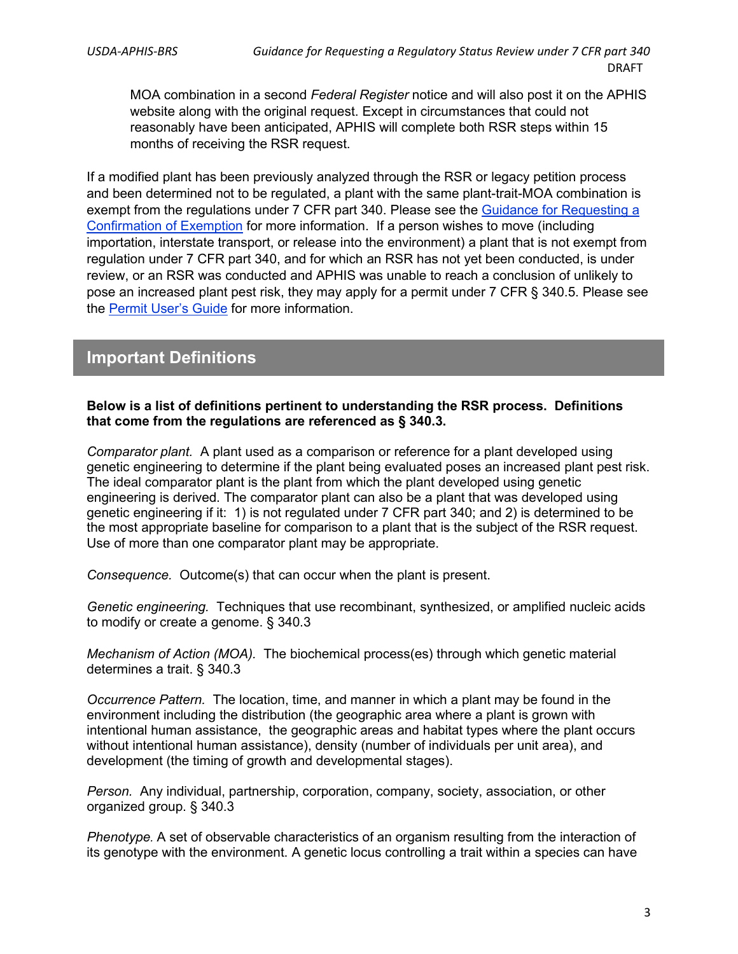MOA combination in a second *Federal Register* notice and will also post it on the APHIS website along with the original request. Except in circumstances that could not reasonably have been anticipated, APHIS will complete both RSR steps within 15 months of receiving the RSR request.

If a modified plant has been previously analyzed through the RSR or legacy petition process and been determined not to be regulated, a plant with the same plant-trait-MOA combination is exempt from the regulations under 7 CFR part 340. Please see the [Guidance for Requesting a](https://www.aphis.usda.gov/brs/pdf/requesting-confirmation-of-exemption.pdf)  [Confirmation of Exemption](https://www.aphis.usda.gov/brs/pdf/requesting-confirmation-of-exemption.pdf) for more information. If a person wishes to move (including importation, interstate transport, or release into the environment) a plant that is not exempt from regulation under 7 CFR part 340, and for which an RSR has not yet been conducted, is under review, or an RSR was conducted and APHIS was unable to reach a conclusion of unlikely to pose an increased plant pest risk, they may apply for a permit under 7 CFR § 340.5. Please see the [Permit User's Guide](https://www.aphis.usda.gov/biotechnology/downloads/permit_guidance.pdf) for more information.

#### <span id="page-4-0"></span>**Important Definitions**

#### **Below is a list of definitions pertinent to understanding the RSR process. Definitions that come from the regulations are referenced as § 340.3.**

*Comparator plant.* A plant used as a comparison or reference for a plant developed using genetic engineering to determine if the plant being evaluated poses an increased plant pest risk. The ideal comparator plant is the plant from which the plant developed using genetic engineering is derived. The comparator plant can also be a plant that was developed using genetic engineering if it: 1) is not regulated under 7 CFR part 340; and 2) is determined to be the most appropriate baseline for comparison to a plant that is the subject of the RSR request. Use of more than one comparator plant may be appropriate.

*Consequence.* Outcome(s) that can occur when the plant is present.

*Genetic engineering.* Techniques that use recombinant, synthesized, or amplified nucleic acids to modify or create a genome. § 340.3

*Mechanism of Action (MOA).* The biochemical process(es) through which genetic material determines a trait. § 340.3

*Occurrence Pattern.* The location, time, and manner in which a plant may be found in the environment including the distribution (the geographic area where a plant is grown with intentional human assistance, the geographic areas and habitat types where the plant occurs without intentional human assistance), density (number of individuals per unit area), and development (the timing of growth and developmental stages).

*Person.* Any individual, partnership, corporation, company, society, association, or other organized group. § 340.3

*Phenotype.* A set of observable characteristics of an organism resulting from the interaction of its genotype with the environment. A genetic locus controlling a trait within a species can have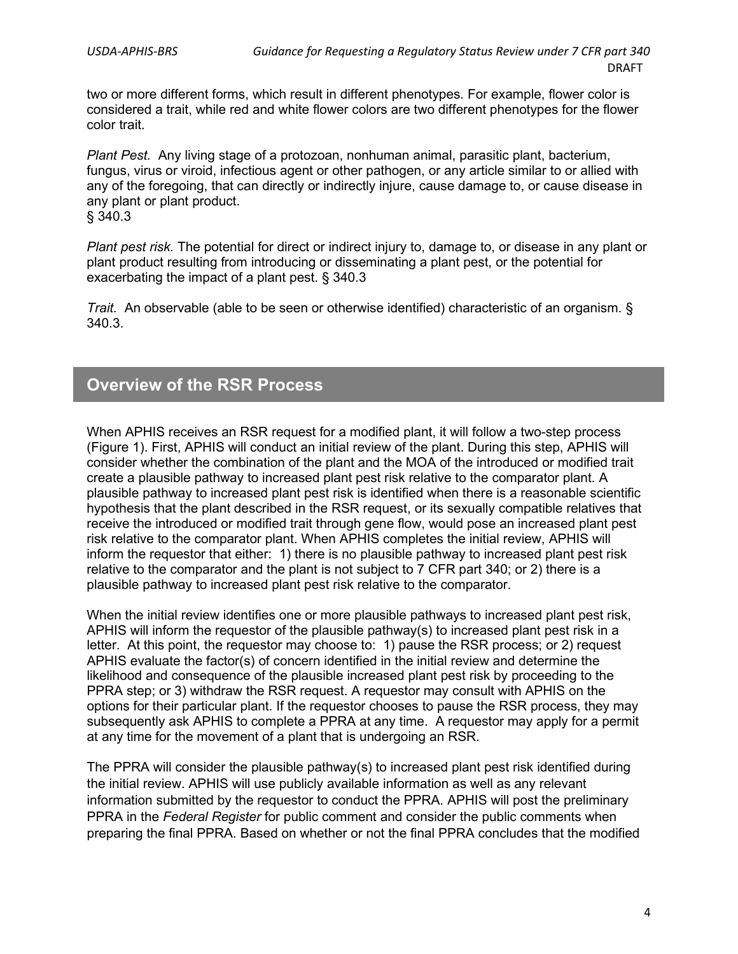two or more different forms, which result in different phenotypes. For example, flower color is considered a trait, while red and white flower colors are two different phenotypes for the flower color trait.

*Plant Pest.* Any living stage of a protozoan, nonhuman animal, parasitic plant, bacterium, fungus, virus or viroid, infectious agent or other pathogen, or any article similar to or allied with any of the foregoing, that can directly or indirectly injure, cause damage to, or cause disease in any plant or plant product. § 340.3

*Plant pest risk.* The potential for direct or indirect injury to, damage to, or disease in any plant or plant product resulting from introducing or disseminating a plant pest, or the potential for exacerbating the impact of a plant pest. § 340.3

*Trait.* An observable (able to be seen or otherwise identified) characteristic of an organism. § 340.3.

#### <span id="page-5-0"></span>**Overview of the RSR Process**

When APHIS receives an RSR request for a modified plant, it will follow a two-step process (Figure 1). First, APHIS will conduct an initial review of the plant. During this step, APHIS will consider whether the combination of the plant and the MOA of the introduced or modified trait create a plausible pathway to increased plant pest risk relative to the comparator plant. A plausible pathway to increased plant pest risk is identified when there is a reasonable scientific hypothesis that the plant described in the RSR request, or its sexually compatible relatives that receive the introduced or modified trait through gene flow, would pose an increased plant pest risk relative to the comparator plant. When APHIS completes the initial review, APHIS will inform the requestor that either: 1) there is no plausible pathway to increased plant pest risk relative to the comparator and the plant is not subject to 7 CFR part 340; or 2) there is a plausible pathway to increased plant pest risk relative to the comparator.

When the initial review identifies one or more plausible pathways to increased plant pest risk, APHIS will inform the requestor of the plausible pathway(s) to increased plant pest risk in a letter. At this point, the requestor may choose to: 1) pause the RSR process; or 2) request APHIS evaluate the factor(s) of concern identified in the initial review and determine the likelihood and consequence of the plausible increased plant pest risk by proceeding to the PPRA step; or 3) withdraw the RSR request. A requestor may consult with APHIS on the options for their particular plant. If the requestor chooses to pause the RSR process, they may subsequently ask APHIS to complete a PPRA at any time. A requestor may apply for a permit at any time for the movement of a plant that is undergoing an RSR.

The PPRA will consider the plausible pathway(s) to increased plant pest risk identified during the initial review. APHIS will use publicly available information as well as any relevant information submitted by the requestor to conduct the PPRA. APHIS will post the preliminary PPRA in the *Federal Register* for public comment and consider the public comments when preparing the final PPRA. Based on whether or not the final PPRA concludes that the modified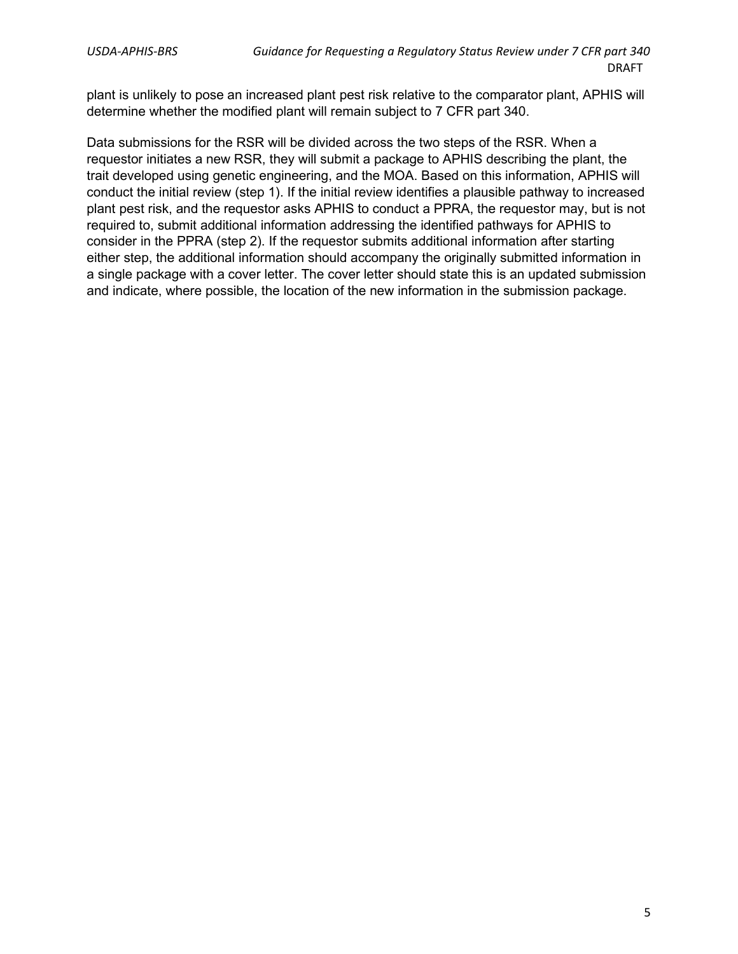plant is unlikely to pose an increased plant pest risk relative to the comparator plant, APHIS will determine whether the modified plant will remain subject to 7 CFR part 340.

Data submissions for the RSR will be divided across the two steps of the RSR. When a requestor initiates a new RSR, they will submit a package to APHIS describing the plant, the trait developed using genetic engineering, and the MOA. Based on this information, APHIS will conduct the initial review (step 1). If the initial review identifies a plausible pathway to increased plant pest risk, and the requestor asks APHIS to conduct a PPRA, the requestor may, but is not required to, submit additional information addressing the identified pathways for APHIS to consider in the PPRA (step 2). If the requestor submits additional information after starting either step, the additional information should accompany the originally submitted information in a single package with a cover letter. The cover letter should state this is an updated submission and indicate, where possible, the location of the new information in the submission package.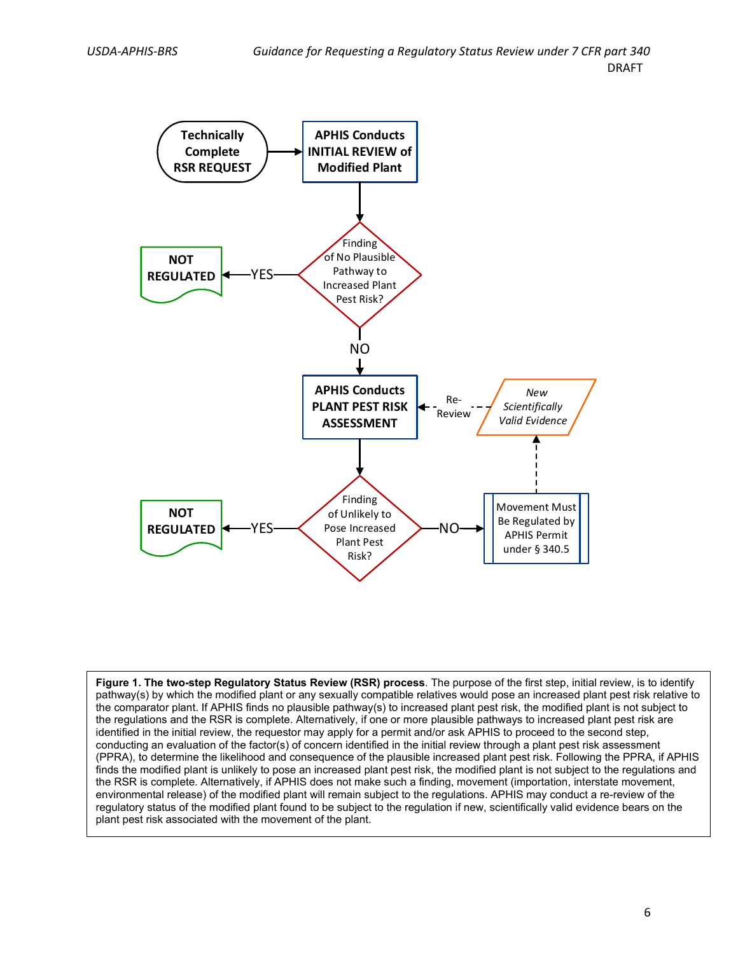

**Figure 1. The two-step Regulatory Status Review (RSR) process**. The purpose of the first step, initial review, is to identify pathway(s) by which the modified plant or any sexually compatible relatives would pose an increased plant pest risk relative to the comparator plant. If APHIS finds no plausible pathway(s) to increased plant pest risk, the modified plant is not subject to the regulations and the RSR is complete. Alternatively, if one or more plausible pathways to increased plant pest risk are identified in the initial review, the requestor may apply for a permit and/or ask APHIS to proceed to the second step, conducting an evaluation of the factor(s) of concern identified in the initial review through a plant pest risk assessment (PPRA), to determine the likelihood and consequence of the plausible increased plant pest risk. Following the PPRA, if APHIS finds the modified plant is unlikely to pose an increased plant pest risk, the modified plant is not subject to the regulations and the RSR is complete. Alternatively, if APHIS does not make such a finding, movement (importation, interstate movement, environmental release) of the modified plant will remain subject to the regulations. APHIS may conduct a re-review of the regulatory status of the modified plant found to be subject to the regulation if new, scientifically valid evidence bears on the plant pest risk associated with the movement of the plant.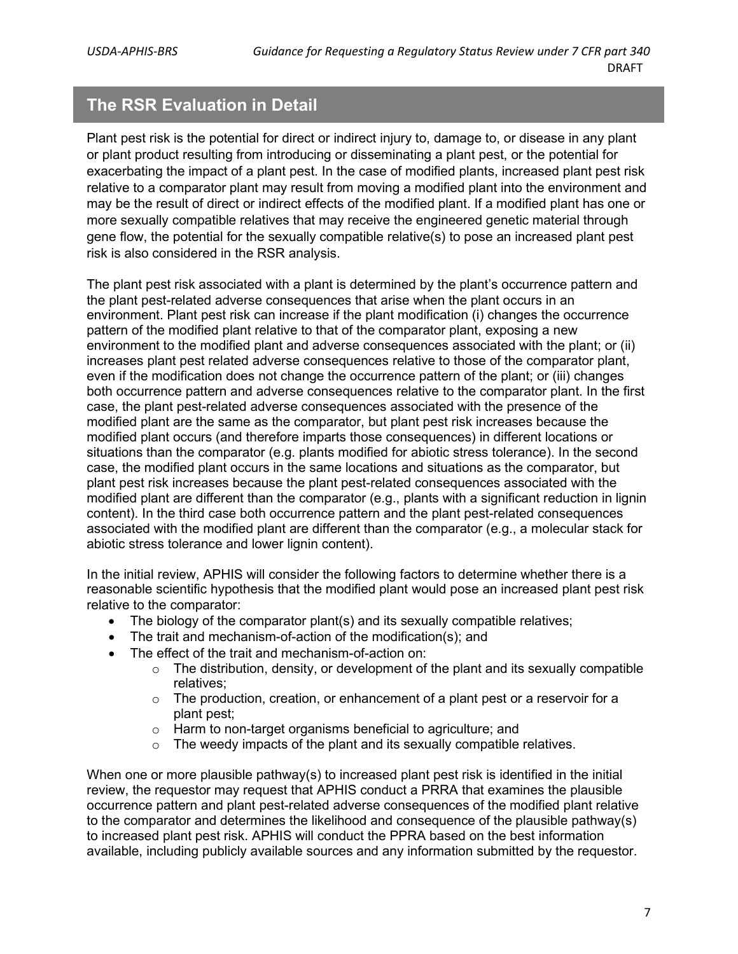### <span id="page-8-0"></span>**The RSR Evaluation in Detail**

Plant pest risk is the potential for direct or indirect injury to, damage to, or disease in any plant or plant product resulting from introducing or disseminating a plant pest, or the potential for exacerbating the impact of a plant pest. In the case of modified plants, increased plant pest risk relative to a comparator plant may result from moving a modified plant into the environment and may be the result of direct or indirect effects of the modified plant. If a modified plant has one or more sexually compatible relatives that may receive the engineered genetic material through gene flow, the potential for the sexually compatible relative(s) to pose an increased plant pest risk is also considered in the RSR analysis.

The plant pest risk associated with a plant is determined by the plant's occurrence pattern and the plant pest-related adverse consequences that arise when the plant occurs in an environment. Plant pest risk can increase if the plant modification (i) changes the occurrence pattern of the modified plant relative to that of the comparator plant, exposing a new environment to the modified plant and adverse consequences associated with the plant; or (ii) increases plant pest related adverse consequences relative to those of the comparator plant, even if the modification does not change the occurrence pattern of the plant; or (iii) changes both occurrence pattern and adverse consequences relative to the comparator plant. In the first case, the plant pest-related adverse consequences associated with the presence of the modified plant are the same as the comparator, but plant pest risk increases because the modified plant occurs (and therefore imparts those consequences) in different locations or situations than the comparator (e.g. plants modified for abiotic stress tolerance). In the second case, the modified plant occurs in the same locations and situations as the comparator, but plant pest risk increases because the plant pest-related consequences associated with the modified plant are different than the comparator (e.g., plants with a significant reduction in lignin content). In the third case both occurrence pattern and the plant pest-related consequences associated with the modified plant are different than the comparator (e.g., a molecular stack for abiotic stress tolerance and lower lignin content).

In the initial review, APHIS will consider the following factors to determine whether there is a reasonable scientific hypothesis that the modified plant would pose an increased plant pest risk relative to the comparator:

- The biology of the comparator plant(s) and its sexually compatible relatives;
- The trait and mechanism-of-action of the modification(s); and
- The effect of the trait and mechanism-of-action on:
	- $\circ$  The distribution, density, or development of the plant and its sexually compatible relatives;
	- $\circ$  The production, creation, or enhancement of a plant pest or a reservoir for a plant pest;
	- $\circ$  Harm to non-target organisms beneficial to agriculture; and  $\circ$  The weedy impacts of the plant and its sexually compatible
	- The weedy impacts of the plant and its sexually compatible relatives.

When one or more plausible pathway(s) to increased plant pest risk is identified in the initial review, the requestor may request that APHIS conduct a PRRA that examines the plausible occurrence pattern and plant pest-related adverse consequences of the modified plant relative to the comparator and determines the likelihood and consequence of the plausible pathway(s) to increased plant pest risk. APHIS will conduct the PPRA based on the best information available, including publicly available sources and any information submitted by the requestor.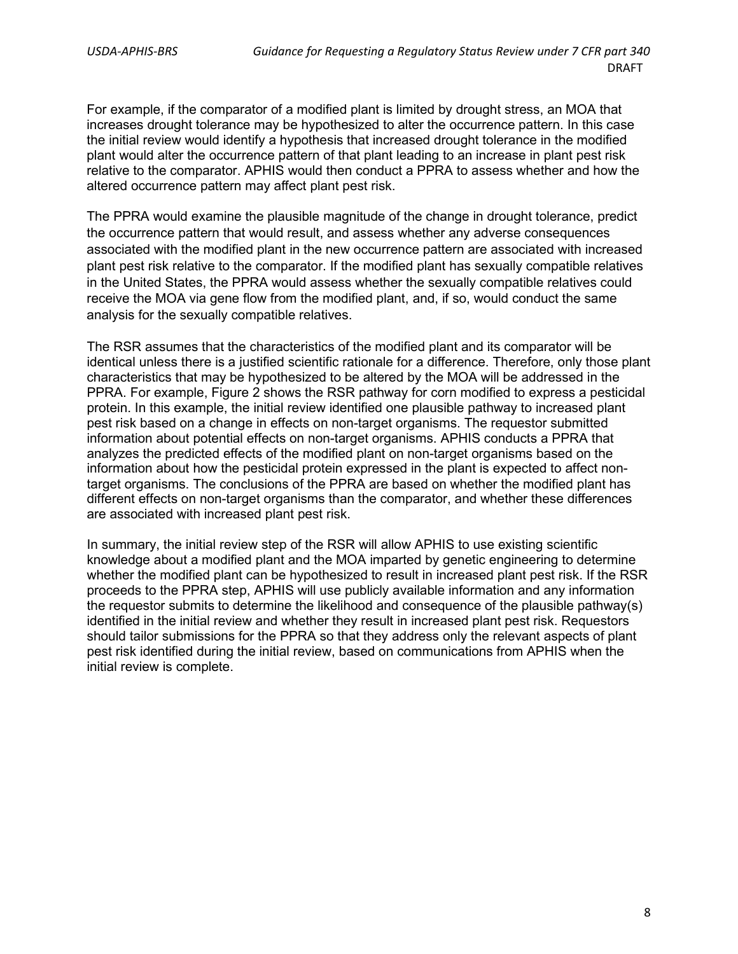For example, if the comparator of a modified plant is limited by drought stress, an MOA that increases drought tolerance may be hypothesized to alter the occurrence pattern. In this case the initial review would identify a hypothesis that increased drought tolerance in the modified plant would alter the occurrence pattern of that plant leading to an increase in plant pest risk relative to the comparator. APHIS would then conduct a PPRA to assess whether and how the altered occurrence pattern may affect plant pest risk.

The PPRA would examine the plausible magnitude of the change in drought tolerance, predict the occurrence pattern that would result, and assess whether any adverse consequences associated with the modified plant in the new occurrence pattern are associated with increased plant pest risk relative to the comparator. If the modified plant has sexually compatible relatives in the United States, the PPRA would assess whether the sexually compatible relatives could receive the MOA via gene flow from the modified plant, and, if so, would conduct the same analysis for the sexually compatible relatives.

The RSR assumes that the characteristics of the modified plant and its comparator will be identical unless there is a justified scientific rationale for a difference. Therefore, only those plant characteristics that may be hypothesized to be altered by the MOA will be addressed in the PPRA. For example, Figure 2 shows the RSR pathway for corn modified to express a pesticidal protein. In this example, the initial review identified one plausible pathway to increased plant pest risk based on a change in effects on non-target organisms. The requestor submitted information about potential effects on non-target organisms. APHIS conducts a PPRA that analyzes the predicted effects of the modified plant on non-target organisms based on the information about how the pesticidal protein expressed in the plant is expected to affect nontarget organisms. The conclusions of the PPRA are based on whether the modified plant has different effects on non-target organisms than the comparator, and whether these differences are associated with increased plant pest risk.

In summary, the initial review step of the RSR will allow APHIS to use existing scientific knowledge about a modified plant and the MOA imparted by genetic engineering to determine whether the modified plant can be hypothesized to result in increased plant pest risk. If the RSR proceeds to the PPRA step, APHIS will use publicly available information and any information the requestor submits to determine the likelihood and consequence of the plausible pathway(s) identified in the initial review and whether they result in increased plant pest risk. Requestors should tailor submissions for the PPRA so that they address only the relevant aspects of plant pest risk identified during the initial review, based on communications from APHIS when the initial review is complete.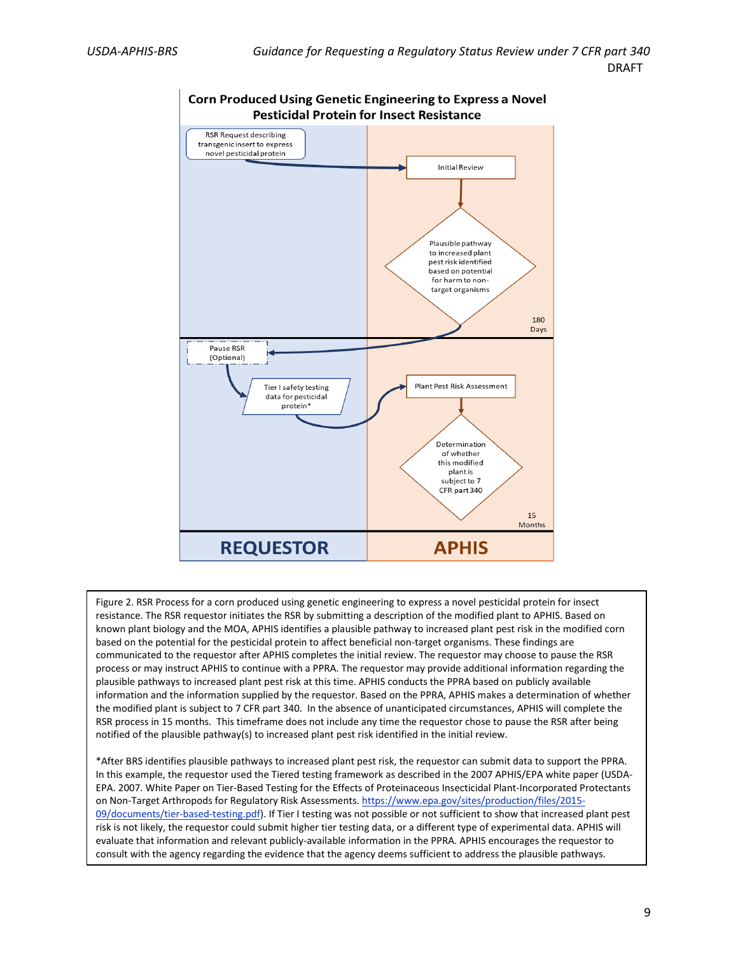

Figure 2. RSR Process for a corn produced using genetic engineering to express a novel pesticidal protein for insect resistance. The RSR requestor initiates the RSR by submitting a description of the modified plant to APHIS. Based on known plant biology and the MOA, APHIS identifies a plausible pathway to increased plant pest risk in the modified corn based on the potential for the pesticidal protein to affect beneficial non-target organisms. These findings are communicated to the requestor after APHIS completes the initial review. The requestor may choose to pause the RSR process or may instruct APHIS to continue with a PPRA. The requestor may provide additional information regarding the plausible pathways to increased plant pest risk at this time. APHIS conducts the PPRA based on publicly available information and the information supplied by the requestor. Based on the PPRA, APHIS makes a determination of whether the modified plant is subject to 7 CFR part 340. In the absence of unanticipated circumstances, APHIS will complete the RSR process in 15 months. This timeframe does not include any time the requestor chose to pause the RSR after being notified of the plausible pathway(s) to increased plant pest risk identified in the initial review.

\*After BRS identifies plausible pathways to increased plant pest risk, the requestor can submit data to support the PPRA. In this example, the requestor used the Tiered testing framework as described in the 2007 APHIS/EPA white paper (USDA-EPA. 2007. White Paper on Tier-Based Testing for the Effects of Proteinaceous Insecticidal Plant-Incorporated Protectants on Non-Target Arthropods for Regulatory Risk Assessments. [https://www.epa.gov/sites/production/files/2015-](https://www.epa.gov/sites/production/files/2015-09/documents/tier-based-testing.pdf) [09/documents/tier-based-testing.pdf\)](https://www.epa.gov/sites/production/files/2015-09/documents/tier-based-testing.pdf). If Tier I testing was not possible or not sufficient to show that increased plant pest risk is not likely, the requestor could submit higher tier testing data, or a different type of experimental data. APHIS will evaluate that information and relevant publicly-available information in the PPRA. APHIS encourages the requestor to consult with the agency regarding the evidence that the agency deems sufficient to address the plausible pathways.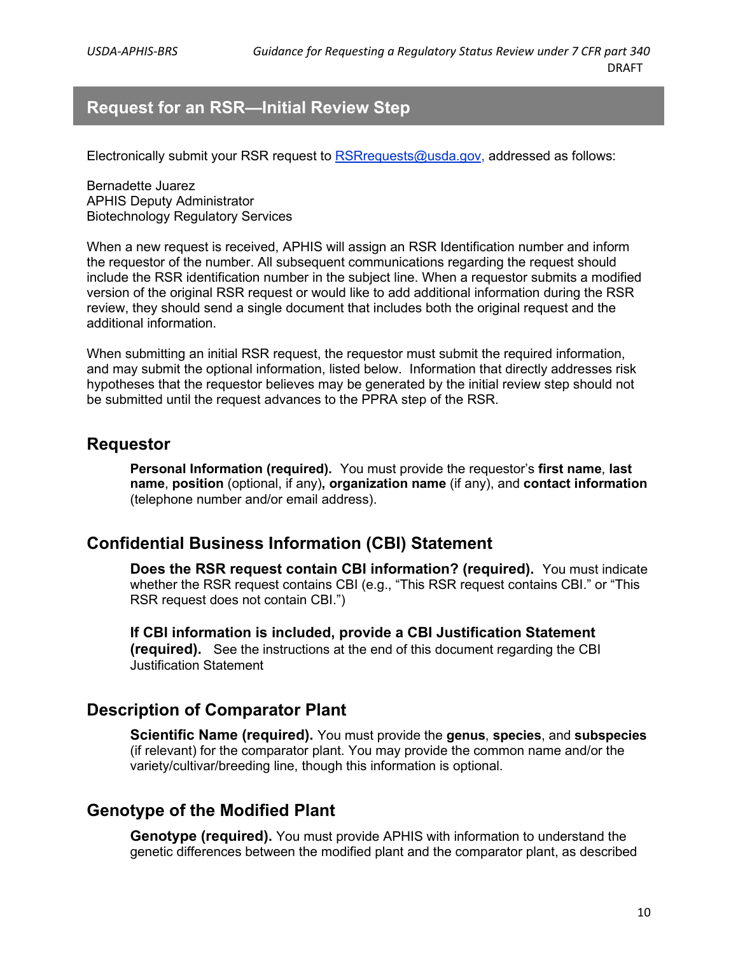### <span id="page-11-0"></span>**Request for an RSR—Initial Review Step**

Electronically submit your RSR request to [RSRrequests@usda.gov,](mailto:RSRrequests@usda.gov) addressed as follows:

Bernadette Juarez APHIS Deputy Administrator Biotechnology Regulatory Services

When a new request is received, APHIS will assign an RSR Identification number and inform the requestor of the number. All subsequent communications regarding the request should include the RSR identification number in the subject line. When a requestor submits a modified version of the original RSR request or would like to add additional information during the RSR review, they should send a single document that includes both the original request and the additional information.

When submitting an initial RSR request, the requestor must submit the required information, and may submit the optional information, listed below. Information that directly addresses risk hypotheses that the requestor believes may be generated by the initial review step should not be submitted until the request advances to the PPRA step of the RSR.

#### <span id="page-11-1"></span>**Requestor**

**Personal Information (required).** You must provide the requestor's **first name**, **last name**, **position** (optional, if any)**, organization name** (if any), and **contact information** (telephone number and/or email address).

#### <span id="page-11-2"></span>**Confidential Business Information (CBI) Statement**

**Does the RSR request contain CBI information? (required).** You must indicate whether the RSR request contains CBI (e.g., "This RSR request contains CBI." or "This RSR request does not contain CBI.")

**If CBI information is included, provide a CBI Justification Statement (required).** See the instructions at the end of this document regarding the CBI Justification Statement

#### <span id="page-11-3"></span>**Description of Comparator Plant**

**Scientific Name (required).** You must provide the **genus**, **species**, and **subspecies** (if relevant) for the comparator plant. You may provide the common name and/or the variety/cultivar/breeding line, though this information is optional.

#### <span id="page-11-4"></span>**Genotype of the Modified Plant**

**Genotype (required).** You must provide APHIS with information to understand the genetic differences between the modified plant and the comparator plant, as described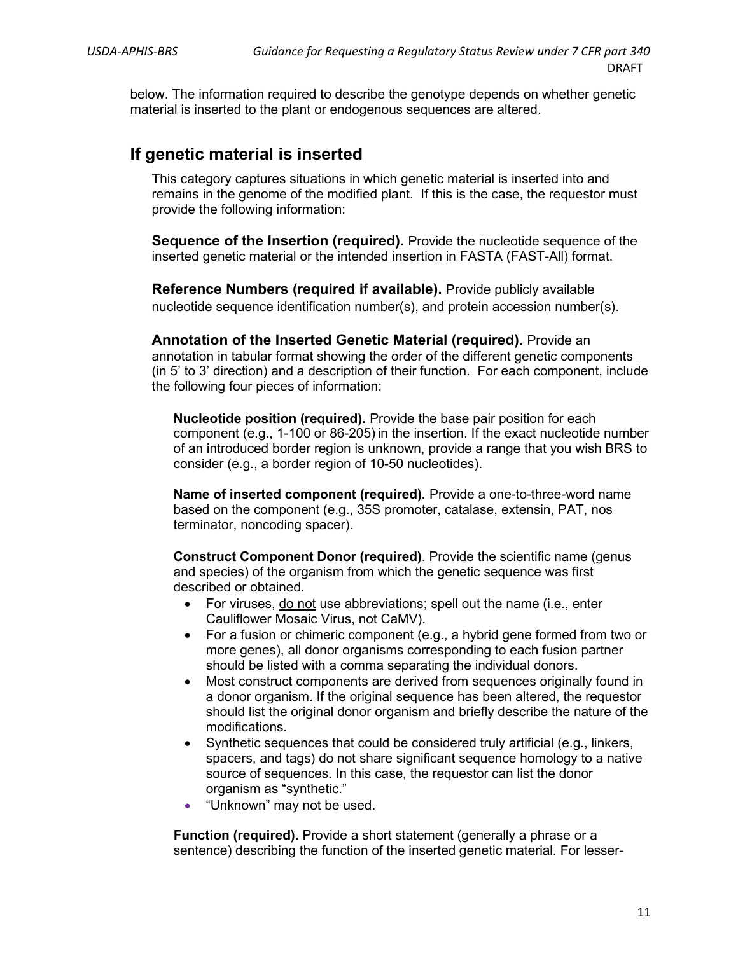below. The information required to describe the genotype depends on whether genetic material is inserted to the plant or endogenous sequences are altered.

#### <span id="page-12-0"></span>**If genetic material is inserted**

This category captures situations in which genetic material is inserted into and remains in the genome of the modified plant. If this is the case, the requestor must provide the following information:

**Sequence of the Insertion (required).** Provide the nucleotide sequence of the inserted genetic material or the intended insertion in FASTA (FAST-All) format.

**Reference Numbers (required if available).** Provide publicly available nucleotide sequence identification number(s), and protein accession number(s).

**Annotation of the Inserted Genetic Material (required).** Provide an annotation in tabular format showing the order of the different genetic components (in 5' to 3' direction) and a description of their function. For each component, include the following four pieces of information:

**Nucleotide position (required).** Provide the base pair position for each component (e.g., 1-100 or 86-205) in the insertion. If the exact nucleotide number of an introduced border region is unknown, provide a range that you wish BRS to consider (e.g., a border region of 10-50 nucleotides).

**Name of inserted component (required).** Provide a one-to-three-word name based on the component (e.g., 35S promoter, catalase, extensin, PAT, nos terminator, noncoding spacer).

**Construct Component Donor (required)**. Provide the scientific name (genus and species) of the organism from which the genetic sequence was first described or obtained.

- For viruses, do not use abbreviations; spell out the name (i.e., enter Cauliflower Mosaic Virus, not CaMV).
- For a fusion or chimeric component (e.g., a hybrid gene formed from two or more genes), all donor organisms corresponding to each fusion partner should be listed with a comma separating the individual donors.
- Most construct components are derived from sequences originally found in a donor organism. If the original sequence has been altered, the requestor should list the original donor organism and briefly describe the nature of the modifications.
- Synthetic sequences that could be considered truly artificial (e.g., linkers, spacers, and tags) do not share significant sequence homology to a native source of sequences. In this case, the requestor can list the donor organism as "synthetic."
- "Unknown" may not be used.

**Function (required).** Provide a short statement (generally a phrase or a sentence) describing the function of the inserted genetic material. For lesser-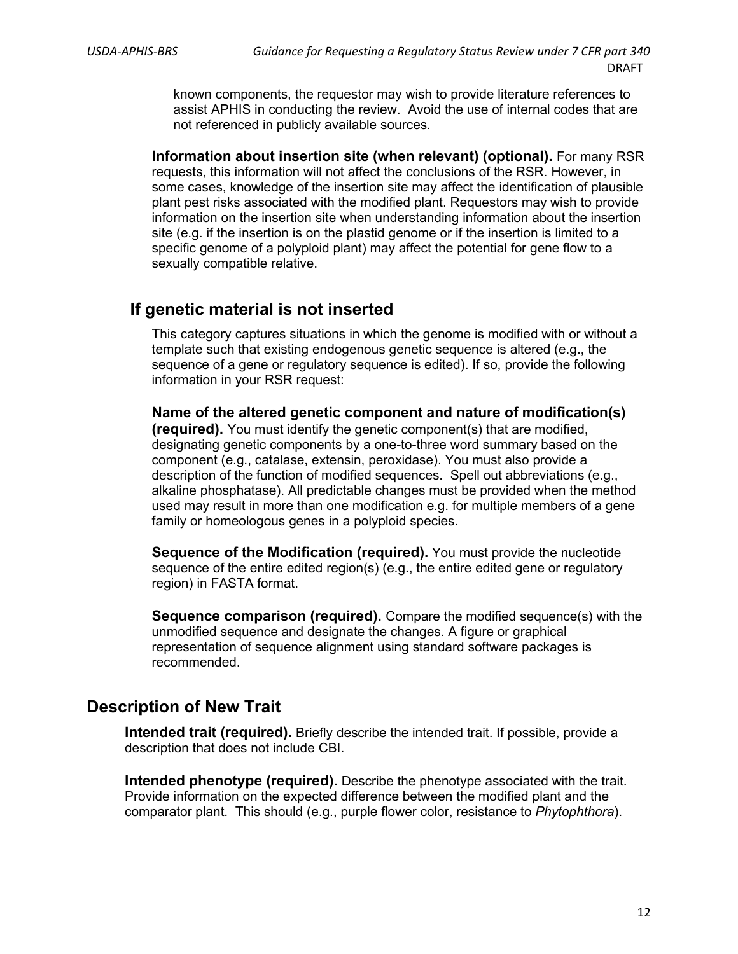known components, the requestor may wish to provide literature references to assist APHIS in conducting the review. Avoid the use of internal codes that are not referenced in publicly available sources.

**Information about insertion site (when relevant) (optional).** For many RSR requests, this information will not affect the conclusions of the RSR. However, in some cases, knowledge of the insertion site may affect the identification of plausible plant pest risks associated with the modified plant. Requestors may wish to provide information on the insertion site when understanding information about the insertion site (e.g. if the insertion is on the plastid genome or if the insertion is limited to a specific genome of a polyploid plant) may affect the potential for gene flow to a sexually compatible relative.

#### <span id="page-13-0"></span>**If genetic material is not inserted**

This category captures situations in which the genome is modified with or without a template such that existing endogenous genetic sequence is altered (e.g., the sequence of a gene or regulatory sequence is edited). If so, provide the following information in your RSR request:

**Name of the altered genetic component and nature of modification(s) (required).** You must identify the genetic component(s) that are modified, designating genetic components by a one-to-three word summary based on the component (e.g., catalase, extensin, peroxidase). You must also provide a description of the function of modified sequences. Spell out abbreviations (e.g., alkaline phosphatase). All predictable changes must be provided when the method used may result in more than one modification e.g. for multiple members of a gene family or homeologous genes in a polyploid species.

**Sequence of the Modification (required).** You must provide the nucleotide sequence of the entire edited region(s) (e.g., the entire edited gene or regulatory region) in FASTA format.

**Sequence comparison (required).** Compare the modified sequence(s) with the unmodified sequence and designate the changes. A figure or graphical representation of sequence alignment using standard software packages is recommended.

### <span id="page-13-1"></span>**Description of New Trait**

**Intended trait (required).** Briefly describe the intended trait. If possible, provide a description that does not include CBI.

**Intended phenotype (required).** Describe the phenotype associated with the trait. Provide information on the expected difference between the modified plant and the comparator plant. This should (e.g., purple flower color, resistance to *Phytophthora*).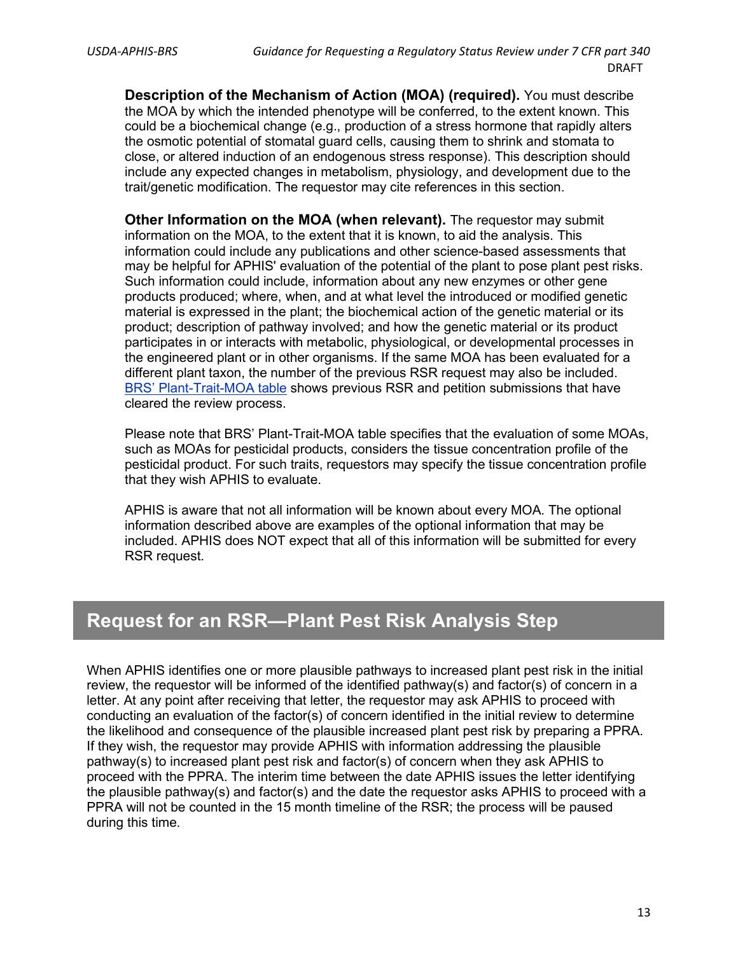**Description of the Mechanism of Action (MOA) (required).** You must describe the MOA by which the intended phenotype will be conferred, to the extent known. This could be a biochemical change (e.g., production of a stress hormone that rapidly alters the osmotic potential of stomatal guard cells, causing them to shrink and stomata to close, or altered induction of an endogenous stress response). This description should include any expected changes in metabolism, physiology, and development due to the trait/genetic modification. The requestor may cite references in this section.

**Other Information on the MOA (when relevant).** The requestor may submit information on the MOA, to the extent that it is known, to aid the analysis. This information could include any publications and other science-based assessments that may be helpful for APHIS' evaluation of the potential of the plant to pose plant pest risks. Such information could include, information about any new enzymes or other gene products produced; where, when, and at what level the introduced or modified genetic material is expressed in the plant; the biochemical action of the genetic material or its product; description of pathway involved; and how the genetic material or its product participates in or interacts with metabolic, physiological, or developmental processes in the engineered plant or in other organisms. If the same MOA has been evaluated for a different plant taxon, the number of the previous RSR request may also be included. [BRS' Plant-Trait-MOA table](https://www.aphis.usda.gov/aphis/ourfocus/biotechnology/permits-notifications-petitions/confirmations/plant-trait-moa) shows previous RSR and petition submissions that have cleared the review process.

Please note that BRS' Plant-Trait-MOA table specifies that the evaluation of some MOAs, such as MOAs for pesticidal products, considers the tissue concentration profile of the pesticidal product. For such traits, requestors may specify the tissue concentration profile that they wish APHIS to evaluate.

APHIS is aware that not all information will be known about every MOA. The optional information described above are examples of the optional information that may be included. APHIS does NOT expect that all of this information will be submitted for every RSR request.

## <span id="page-14-0"></span>**Request for an RSR—Plant Pest Risk Analysis Step**

When APHIS identifies one or more plausible pathways to increased plant pest risk in the initial review, the requestor will be informed of the identified pathway(s) and factor(s) of concern in a letter. At any point after receiving that letter, the requestor may ask APHIS to proceed with conducting an evaluation of the factor(s) of concern identified in the initial review to determine the likelihood and consequence of the plausible increased plant pest risk by preparing a PPRA. If they wish, the requestor may provide APHIS with information addressing the plausible pathway(s) to increased plant pest risk and factor(s) of concern when they ask APHIS to proceed with the PPRA. The interim time between the date APHIS issues the letter identifying the plausible pathway(s) and factor(s) and the date the requestor asks APHIS to proceed with a PPRA will not be counted in the 15 month timeline of the RSR; the process will be paused during this time.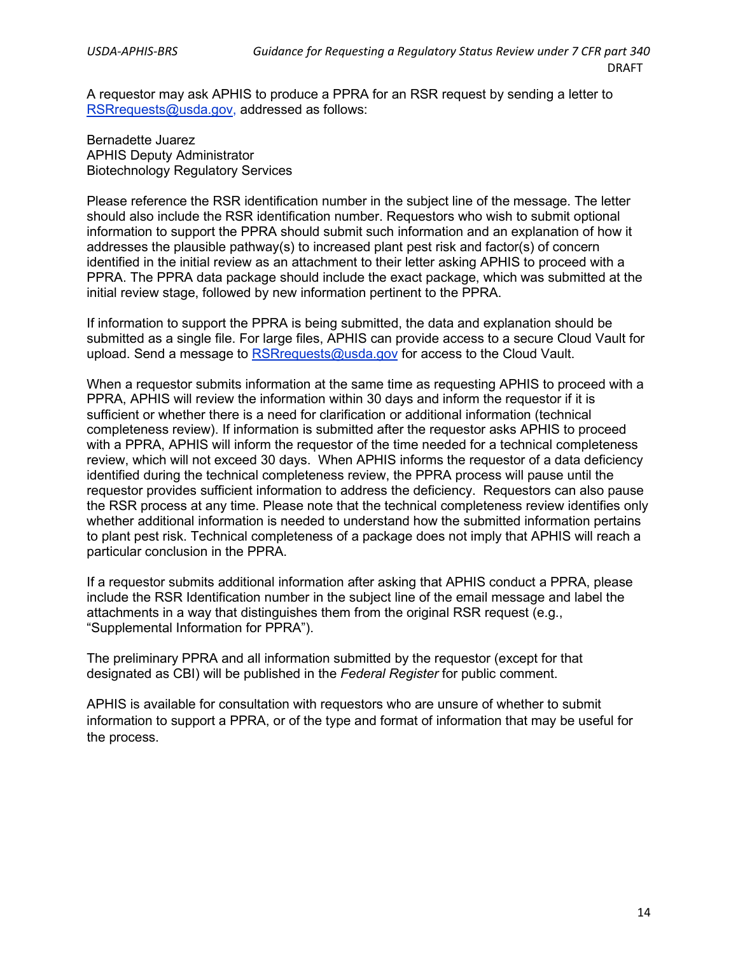A requestor may ask APHIS to produce a PPRA for an RSR request by sending a letter to [RSRrequests@usda.gov,](mailto:XXXXXX@usda.gov) addressed as follows:

Bernadette Juarez APHIS Deputy Administrator Biotechnology Regulatory Services

Please reference the RSR identification number in the subject line of the message. The letter should also include the RSR identification number. Requestors who wish to submit optional information to support the PPRA should submit such information and an explanation of how it addresses the plausible pathway(s) to increased plant pest risk and factor(s) of concern identified in the initial review as an attachment to their letter asking APHIS to proceed with a PPRA. The PPRA data package should include the exact package, which was submitted at the initial review stage, followed by new information pertinent to the PPRA.

If information to support the PPRA is being submitted, the data and explanation should be submitted as a single file. For large files, APHIS can provide access to a secure Cloud Vault for upload. Send a message to [RSRrequests@usda.gov](mailto:XXXXXX@usda.gov) for access to the Cloud Vault.

When a requestor submits information at the same time as requesting APHIS to proceed with a PPRA, APHIS will review the information within 30 days and inform the requestor if it is sufficient or whether there is a need for clarification or additional information (technical completeness review). If information is submitted after the requestor asks APHIS to proceed with a PPRA, APHIS will inform the requestor of the time needed for a technical completeness review, which will not exceed 30 days. When APHIS informs the requestor of a data deficiency identified during the technical completeness review, the PPRA process will pause until the requestor provides sufficient information to address the deficiency. Requestors can also pause the RSR process at any time. Please note that the technical completeness review identifies only whether additional information is needed to understand how the submitted information pertains to plant pest risk. Technical completeness of a package does not imply that APHIS will reach a particular conclusion in the PPRA.

If a requestor submits additional information after asking that APHIS conduct a PPRA, please include the RSR Identification number in the subject line of the email message and label the attachments in a way that distinguishes them from the original RSR request (e.g., "Supplemental Information for PPRA").

The preliminary PPRA and all information submitted by the requestor (except for that designated as CBI) will be published in the *Federal Register* for public comment.

APHIS is available for consultation with requestors who are unsure of whether to submit information to support a PPRA, or of the type and format of information that may be useful for the process.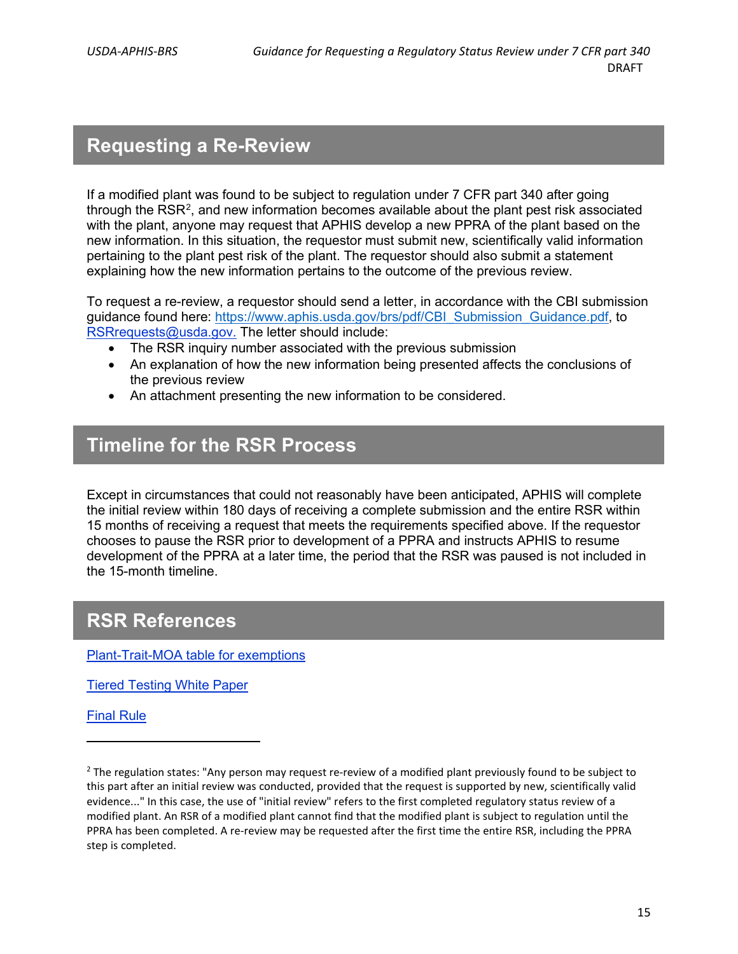# <span id="page-16-0"></span>**Requesting a Re-Review**

If a modified plant was found to be subject to regulation under 7 CFR part 340 after going through the  $\mathsf{RSR^2}$  $\mathsf{RSR^2}$  $\mathsf{RSR^2}$ , and new information becomes available about the plant pest risk associated with the plant, anyone may request that APHIS develop a new PPRA of the plant based on the new information. In this situation, the requestor must submit new, scientifically valid information pertaining to the plant pest risk of the plant. The requestor should also submit a statement explaining how the new information pertains to the outcome of the previous review.

To request a re-review, a requestor should send a letter, in accordance with the CBI submission guidance found here: [https://www.aphis.usda.gov/brs/pdf/CBI\\_Submission\\_Guidance.pdf,](https://www.aphis.usda.gov/brs/pdf/CBI_Submission_Guidance.pdf) to [RSRrequests@usda.gov.](mailto:RSRrequests@usda.gov) The letter should include:

- The RSR inquiry number associated with the previous submission
- An explanation of how the new information being presented affects the conclusions of the previous review
- An attachment presenting the new information to be considered.

### <span id="page-16-1"></span>**Timeline for the RSR Process**

Except in circumstances that could not reasonably have been anticipated, APHIS will complete the initial review within 180 days of receiving a complete submission and the entire RSR within 15 months of receiving a request that meets the requirements specified above. If the requestor chooses to pause the RSR prior to development of a PPRA and instructs APHIS to resume development of the PPRA at a later time, the period that the RSR was paused is not included in the 15-month timeline.

### <span id="page-16-2"></span>**RSR References**

[Plant-Trait-MOA table](https://www.aphis.usda.gov/aphis/ourfocus/biotechnology/permits-notifications-petitions/confirmations/moa/moa-table) for exemptions

[Tiered Testing White Paper](https://www.epa.gov/sites/production/files/2015-09/documents/tier-based-testing.pdf)

[Final Rule](https://www.aphis.usda.gov/brs/fedregister/BRS_2020518.pdf)

<span id="page-16-3"></span> $<sup>2</sup>$  The regulation states: "Any person may request re-review of a modified plant previously found to be subject to</sup> this part after an initial review was conducted, provided that the request is supported by new, scientifically valid evidence..." In this case, the use of "initial review" refers to the first completed regulatory status review of a modified plant. An RSR of a modified plant cannot find that the modified plant is subject to regulation until the PPRA has been completed. A re-review may be requested after the first time the entire RSR, including the PPRA step is completed.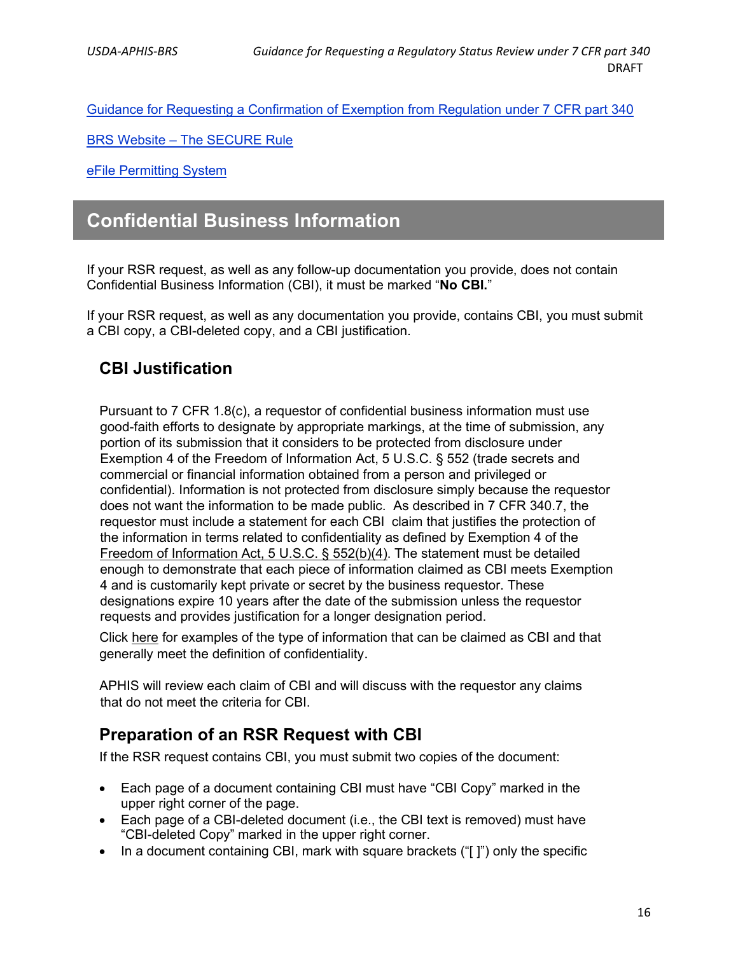[Guidance for Requesting a Confirmation of Exemption from Regulation under 7 CFR part 340](https://www.aphis.usda.gov/brs/pdf/requesting-confirmation-of-exemption.pdf)

BRS Website – [The SECURE Rule](https://www.aphis.usda.gov/aphis/ourfocus/biotechnology/biotech-rule-revision/secure-rule/secure-about/340_2017_perdue_biotechreg)

[eFile Permitting System](https://www.aphis.usda.gov/aphis/newsroom/stakeholder-info/stakeholder-messages/biotechnology-news/brs-permit-appls-required-to-use-efile-and-training)

### <span id="page-17-0"></span>**Confidential Business Information**

If your RSR request, as well as any follow-up documentation you provide, does not contain Confidential Business Information (CBI), it must be marked "**No CBI.**"

If your RSR request, as well as any documentation you provide, contains CBI, you must submit a CBI copy, a CBI-deleted copy, and a CBI justification.

### <span id="page-17-1"></span>**CBI Justification**

Pursuant to 7 CFR 1.8(c), a requestor of confidential business information must use good-faith efforts to designate by appropriate markings, at the time of submission, any portion of its submission that it considers to be protected from disclosure under Exemption 4 of the Freedom of Information Act, 5 U.S.C. § 552 (trade secrets and commercial or financial information obtained from a person and privileged or confidential). Information is not protected from disclosure simply because the requestor does not want the information to be made public. As described in 7 CFR 340.7, the requestor must include a statement for each CBI claim that justifies the protection of the information in terms related to confidentiality as defined by Exemption 4 of the [Freedom of Information Act, 5 U.S.C. § 552\(b\)\(4\).](https://www.justice.gov/oip/freedom-information-act-5-usc-552) The statement must be detailed enough to demonstrate that each piece of information claimed as CBI meets Exemption 4 and is customarily kept private or secret by the business requestor. These designations expire 10 years after the date of the submission unless the requestor requests and provides justification for a longer designation period.

Click [here](https://www.aphis.usda.gov/brs/pdf/CBI_Submission_Guidance.pdf) for examples of the type of information that can be claimed as CBI and that generally meet the definition of confidentiality.

APHIS will review each claim of CBI and will discuss with the requestor any claims that do not meet the criteria for CBI.

#### <span id="page-17-2"></span>**Preparation of an RSR Request with CBI**

If the RSR request contains CBI, you must submit two copies of the document:

- Each page of a document containing CBI must have "CBI Copy" marked in the upper right corner of the page.
- Each page of a CBI-deleted document (i.e., the CBI text is removed) must have "CBI-deleted Copy" marked in the upper right corner.
- In a document containing CBI, mark with square brackets ("[ ]") only the specific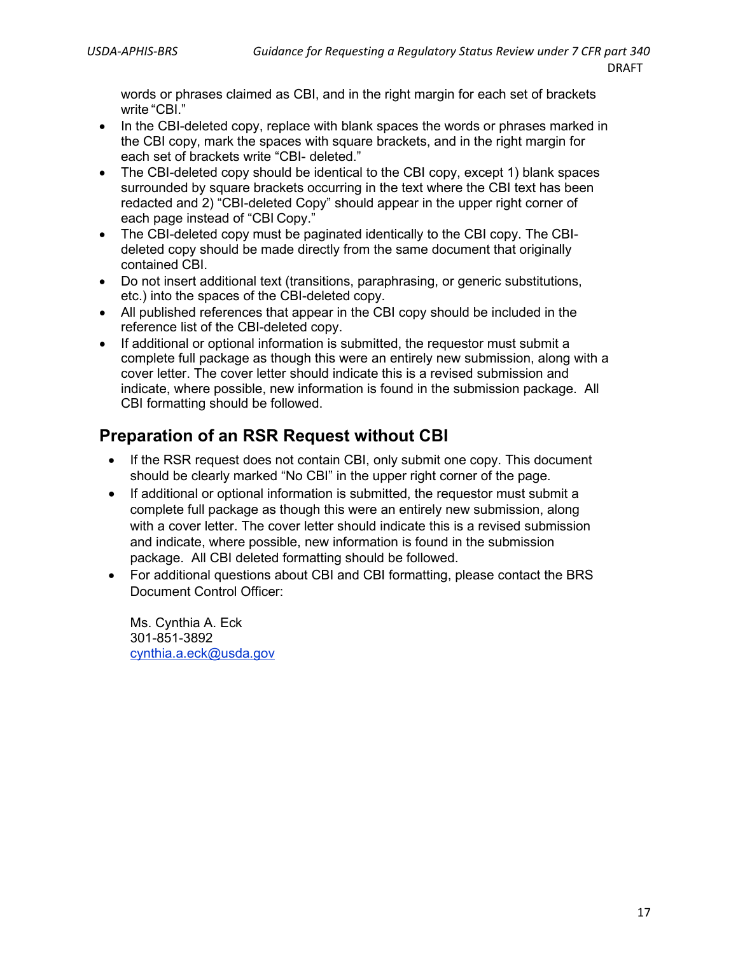words or phrases claimed as CBI, and in the right margin for each set of brackets write "CBI."

- In the CBI-deleted copy, replace with blank spaces the words or phrases marked in the CBI copy, mark the spaces with square brackets, and in the right margin for each set of brackets write "CBI- deleted."
- The CBI-deleted copy should be identical to the CBI copy, except 1) blank spaces surrounded by square brackets occurring in the text where the CBI text has been redacted and 2) "CBI-deleted Copy" should appear in the upper right corner of each page instead of "CBI Copy."
- The CBI-deleted copy must be paginated identically to the CBI copy. The CBIdeleted copy should be made directly from the same document that originally contained CBI.
- Do not insert additional text (transitions, paraphrasing, or generic substitutions, etc.) into the spaces of the CBI-deleted copy.
- All published references that appear in the CBI copy should be included in the reference list of the CBI-deleted copy.
- If additional or optional information is submitted, the requestor must submit a complete full package as though this were an entirely new submission, along with a cover letter. The cover letter should indicate this is a revised submission and indicate, where possible, new information is found in the submission package. All CBI formatting should be followed.

### <span id="page-18-0"></span>**Preparation of an RSR Request without CBI**

- If the RSR request does not contain CBI, only submit one copy. This document should be clearly marked "No CBI" in the upper right corner of the page.
- If additional or optional information is submitted, the requestor must submit a complete full package as though this were an entirely new submission, along with a cover letter. The cover letter should indicate this is a revised submission and indicate, where possible, new information is found in the submission package. All CBI deleted formatting should be followed.
- For additional questions about CBI and CBI formatting, please contact the BRS Document Control Officer:

Ms. Cynthia A. Eck 301-851-3892 [cynthia.a.eck@usda.gov](mailto:cynthia.a.eck@usda.gov)